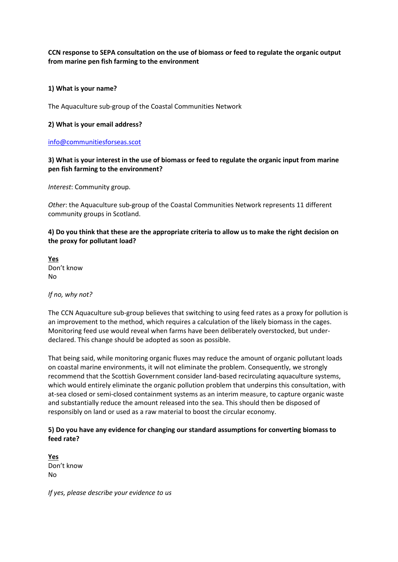**CCN response to SEPA consultation on the use of biomass or feed to regulate the organic output from marine pen fish farming to the environment**

#### **1) What is your name?**

The Aquaculture sub-group of the Coastal Communities Network

#### **2) What is your email address?**

#### [info@communitiesforseas.scot](mailto:info@communitiesforseas.scot)

**3) What is your interest in the use of biomass or feed to regulate the organic input from marine pen fish farming to the environment?**

*Interest*: Community group.

*Other*: the Aquaculture sub-group of the Coastal Communities Network represents 11 different community groups in Scotland.

**4) Do you think that these are the appropriate criteria to allow us to make the right decision on the proxy for pollutant load?** 

**Yes** Don't know No

*If no, why not?* 

The CCN Aquaculture sub-group believes that switching to using feed rates as a proxy for pollution is an improvement to the method, which requires a calculation of the likely biomass in the cages. Monitoring feed use would reveal when farms have been deliberately overstocked, but underdeclared. This change should be adopted as soon as possible.

That being said, while monitoring organic fluxes may reduce the amount of organic pollutant loads on coastal marine environments, it will not eliminate the problem. Consequently, we strongly recommend that the Scottish Government consider land-based recirculating aquaculture systems, which would entirely eliminate the organic pollution problem that underpins this consultation, with at-sea closed or semi-closed containment systems as an interim measure, to capture organic waste and substantially reduce the amount released into the sea. This should then be disposed of responsibly on land or used as a raw material to boost the circular economy.

# **5) Do you have any evidence for changing our standard assumptions for converting biomass to feed rate?**

**Yes** Don't know No

*If yes, please describe your evidence to us*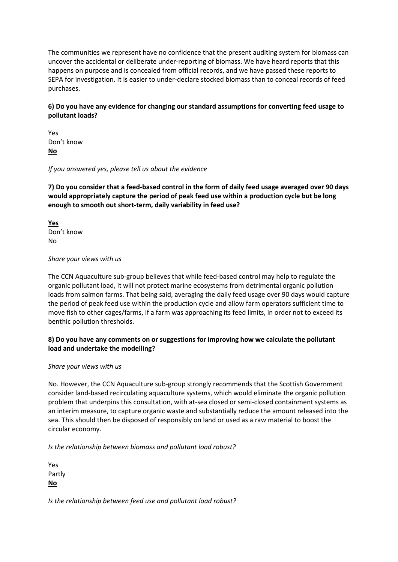The communities we represent have no confidence that the present auditing system for biomass can uncover the accidental or deliberate under-reporting of biomass. We have heard reports that this happens on purpose and is concealed from official records, and we have passed these reports to SEPA for investigation. It is easier to under-declare stocked biomass than to conceal records of feed purchases.

# **6) Do you have any evidence for changing our standard assumptions for converting feed usage to pollutant loads?**

Yes Don't know **No**

## *If you answered yes, please tell us about the evidence*

**7) Do you consider that a feed-based control in the form of daily feed usage averaged over 90 days would appropriately capture the period of peak feed use within a production cycle but be long enough to smooth out short-term, daily variability in feed use?** 

**Yes** Don't know No

## *Share your views with us*

The CCN Aquaculture sub-group believes that while feed-based control may help to regulate the organic pollutant load, it will not protect marine ecosystems from detrimental organic pollution loads from salmon farms. That being said, averaging the daily feed usage over 90 days would capture the period of peak feed use within the production cycle and allow farm operators sufficient time to move fish to other cages/farms, if a farm was approaching its feed limits, in order not to exceed its benthic pollution thresholds.

# **8) Do you have any comments on or suggestions for improving how we calculate the pollutant load and undertake the modelling?**

## *Share your views with us*

No. However, the CCN Aquaculture sub-group strongly recommends that the Scottish Government consider land-based recirculating aquaculture systems, which would eliminate the organic pollution problem that underpins this consultation, with at-sea closed or semi-closed containment systems as an interim measure, to capture organic waste and substantially reduce the amount released into the sea. This should then be disposed of responsibly on land or used as a raw material to boost the circular economy.

*Is the relationship between biomass and pollutant load robust?* 

Yes Partly **No**

*Is the relationship between feed use and pollutant load robust?*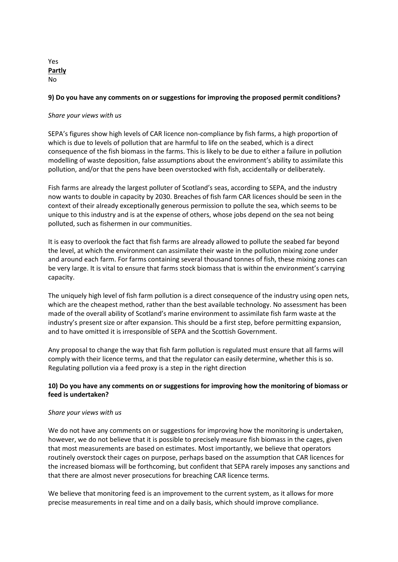#### Yes **Partly** No

#### **9) Do you have any comments on or suggestions for improving the proposed permit conditions?**

## *Share your views with us*

SEPA's figures show high levels of CAR licence non-compliance by fish farms, a high proportion of which is due to levels of pollution that are harmful to life on the seabed, which is a direct consequence of the fish biomass in the farms. This is likely to be due to either a failure in pollution modelling of waste deposition, false assumptions about the environment's ability to assimilate this pollution, and/or that the pens have been overstocked with fish, accidentally or deliberately.

Fish farms are already the largest polluter of Scotland's seas, according to SEPA, and the industry now wants to double in capacity by 2030. Breaches of fish farm CAR licences should be seen in the context of their already exceptionally generous permission to pollute the sea, which seems to be unique to this industry and is at the expense of others, whose jobs depend on the sea not being polluted, such as fishermen in our communities.

It is easy to overlook the fact that fish farms are already allowed to pollute the seabed far beyond the level, at which the environment can assimilate their waste in the pollution mixing zone under and around each farm. For farms containing several thousand tonnes of fish, these mixing zones can be very large. It is vital to ensure that farms stock biomass that is within the environment's carrying capacity.

The uniquely high level of fish farm pollution is a direct consequence of the industry using open nets, which are the cheapest method, rather than the best available technology. No assessment has been made of the overall ability of Scotland's marine environment to assimilate fish farm waste at the industry's present size or after expansion. This should be a first step, before permitting expansion, and to have omitted it is irresponsible of SEPA and the Scottish Government.

Any proposal to change the way that fish farm pollution is regulated must ensure that all farms will comply with their licence terms, and that the regulator can easily determine, whether this is so. Regulating pollution via a feed proxy is a step in the right direction

# **10) Do you have any comments on or suggestions for improving how the monitoring of biomass or feed is undertaken?**

#### *Share your views with us*

We do not have any comments on or suggestions for improving how the monitoring is undertaken, however, we do not believe that it is possible to precisely measure fish biomass in the cages, given that most measurements are based on estimates. Most importantly, we believe that operators routinely overstock their cages on purpose, perhaps based on the assumption that CAR licences for the increased biomass will be forthcoming, but confident that SEPA rarely imposes any sanctions and that there are almost never prosecutions for breaching CAR licence terms.

We believe that monitoring feed is an improvement to the current system, as it allows for more precise measurements in real time and on a daily basis, which should improve compliance.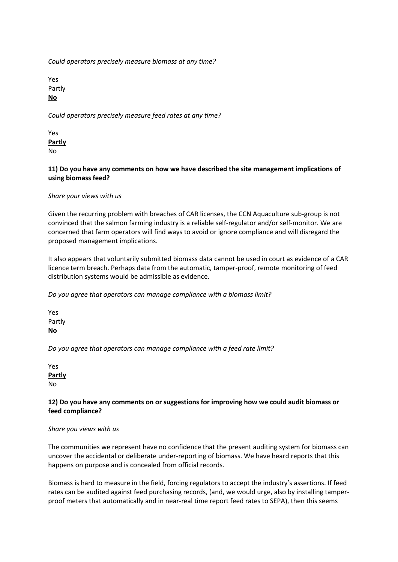*Could operators precisely measure biomass at any time?* 

Yes Partly **No**

*Could operators precisely measure feed rates at any time?* 

Yes **Partly** No

# **11) Do you have any comments on how we have described the site management implications of using biomass feed?**

*Share your views with us*

Given the recurring problem with breaches of CAR licenses, the CCN Aquaculture sub-group is not convinced that the salmon farming industry is a reliable self-regulator and/or self-monitor. We are concerned that farm operators will find ways to avoid or ignore compliance and will disregard the proposed management implications.

It also appears that voluntarily submitted biomass data cannot be used in court as evidence of a CAR licence term breach. Perhaps data from the automatic, tamper-proof, remote monitoring of feed distribution systems would be admissible as evidence.

*Do you agree that operators can manage compliance with a biomass limit?* 

Yes Partly **No**

*Do you agree that operators can manage compliance with a feed rate limit?* 

Yes **Partly** No

# **12) Do you have any comments on or suggestions for improving how we could audit biomass or feed compliance?**

## *Share you views with us*

The communities we represent have no confidence that the present auditing system for biomass can uncover the accidental or deliberate under-reporting of biomass. We have heard reports that this happens on purpose and is concealed from official records.

Biomass is hard to measure in the field, forcing regulators to accept the industry's assertions. If feed rates can be audited against feed purchasing records, (and, we would urge, also by installing tamperproof meters that automatically and in near-real time report feed rates to SEPA), then this seems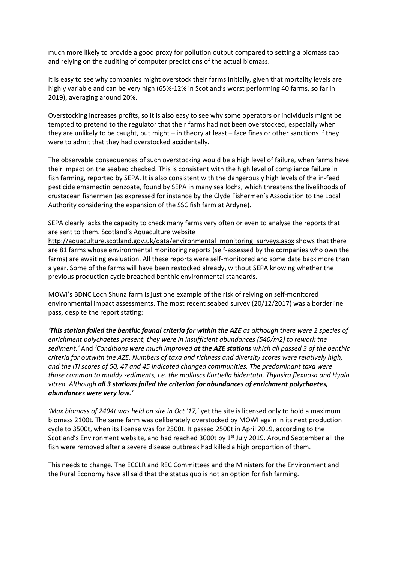much more likely to provide a good proxy for pollution output compared to setting a biomass cap and relying on the auditing of computer predictions of the actual biomass.

It is easy to see why companies might overstock their farms initially, given that mortality levels are highly variable and can be very high (65%-12% in Scotland's worst performing 40 farms, so far in 2019), averaging around 20%.

Overstocking increases profits, so it is also easy to see why some operators or individuals might be tempted to pretend to the regulator that their farms had not been overstocked, especially when they are unlikely to be caught, but might – in theory at least – face fines or other sanctions if they were to admit that they had overstocked accidentally.

The observable consequences of such overstocking would be a high level of failure, when farms have their impact on the seabed checked. This is consistent with the high level of compliance failure in fish farming, reported by SEPA. It is also consistent with the dangerously high levels of the in-feed pesticide emamectin benzoate, found by SEPA in many sea lochs, which threatens the livelihoods of crustacean fishermen (as expressed for instance by the Clyde Fishermen's Association to the Local Authority considering the expansion of the SSC fish farm at Ardyne).

SEPA clearly lacks the capacity to check many farms very often or even to analyse the reports that are sent to them. Scotland's Aquaculture website

[http://aquaculture.scotland.gov.uk/data/environmental\\_monitoring\\_surveys.aspx](http://aquaculture.scotland.gov.uk/data/environmental_monitoring_surveys.aspx) shows that there are 81 farms whose environmental monitoring reports (self-assessed by the companies who own the farms) are awaiting evaluation. All these reports were self-monitored and some date back more than a year. Some of the farms will have been restocked already, without SEPA knowing whether the previous production cycle breached benthic environmental standards.

MOWI's BDNC Loch Shuna farm is just one example of the risk of relying on self-monitored environmental impact assessments. The most recent seabed survey (20/12/2017) was a borderline pass, despite the report stating:

*'This station failed the benthic faunal criteria for within the AZE as although there were 2 species of enrichment polychaetes present, they were in insufficient abundances (540/m2) to rework the sediment.'* And *'Conditions were much improved at the AZE stations which all passed 3 of the benthic criteria for outwith the AZE. Numbers of taxa and richness and diversity scores were relatively high, and the ITI scores of 50, 47 and 45 indicated changed communities. The predominant taxa were those common to muddy sediments, i.e. the molluscs Kurtiella bidentata, Thyasira flexuosa and Hyala vitrea. Although all 3 stations failed the criterion for abundances of enrichment polychaetes, abundances were very low.'*

*'Max biomass of 2494t was held on site in Oct '17,*' yet the site is licensed only to hold a maximum biomass 2100t. The same farm was deliberately overstocked by MOWI again in its next production cycle to 3500t, when its license was for 2500t. It passed 2500t in April 2019, according to the Scotland's Environment website, and had reached 3000t by  $1<sup>st</sup>$  July 2019. Around September all the fish were removed after a severe disease outbreak had killed a high proportion of them.

This needs to change. The ECCLR and REC Committees and the Ministers for the Environment and the Rural Economy have all said that the status quo is not an option for fish farming.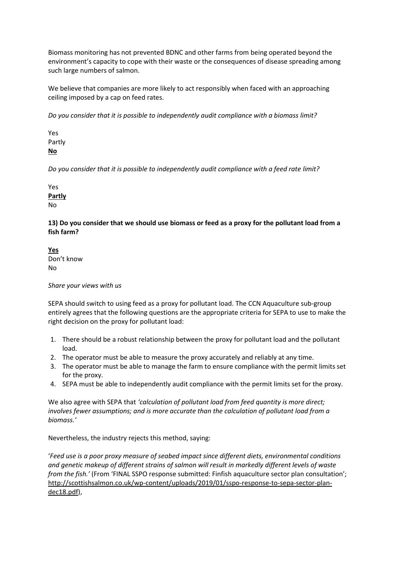Biomass monitoring has not prevented BDNC and other farms from being operated beyond the environment's capacity to cope with their waste or the consequences of disease spreading among such large numbers of salmon.

We believe that companies are more likely to act responsibly when faced with an approaching ceiling imposed by a cap on feed rates.

*Do you consider that it is possible to independently audit compliance with a biomass limit?* 

Yes Partly **No**

*Do you consider that it is possible to independently audit compliance with a feed rate limit?*

Yes **Partly** No

**13) Do you consider that we should use biomass or feed as a proxy for the pollutant load from a fish farm?** 

**Yes** Don't know No

*Share your views with us*

SEPA should switch to using feed as a proxy for pollutant load. The CCN Aquaculture sub-group entirely agrees that the following questions are the appropriate criteria for SEPA to use to make the right decision on the proxy for pollutant load:

- 1. There should be a robust relationship between the proxy for pollutant load and the pollutant load.
- 2. The operator must be able to measure the proxy accurately and reliably at any time.
- 3. The operator must be able to manage the farm to ensure compliance with the permit limits set for the proxy.
- 4. SEPA must be able to independently audit compliance with the permit limits set for the proxy.

We also agree with SEPA that *'calculation of pollutant load from feed quantity is more direct; involves fewer assumptions; and is more accurate than the calculation of pollutant load from a biomass.'*

Nevertheless, the industry rejects this method, saying:

'*Feed use is a poor proxy measure of seabed impact since different diets, environmental conditions and genetic makeup of different strains of salmon will result in markedly different levels of waste from the fish.'* (From 'FINAL SSPO response submitted: Finfish aquaculture sector plan consultation'; [http://scottishsalmon.co.uk/wp-content/uploads/2019/01/sspo-response-to-sepa-sector-plan](http://scottishsalmon.co.uk/wp-content/uploads/2019/01/sspo-response-to-sepa-sector-plan-dec18.pdf)[dec18.pdf\)](http://scottishsalmon.co.uk/wp-content/uploads/2019/01/sspo-response-to-sepa-sector-plan-dec18.pdf),